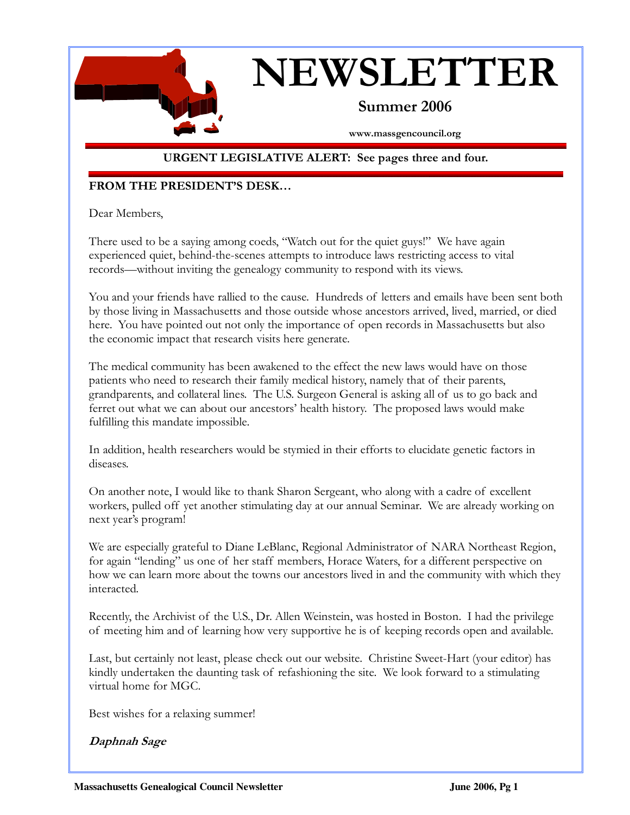

# NEWSLETTER

## Summer 2006

www.massgencouncil.org

#### URGENT LEGISLATIVE ALERT: See pages three and four.

#### FROM THE PRESIDENT'S DESK…

Dear Members,

There used to be a saying among coeds, "Watch out for the quiet guys!" We have again experienced quiet, behind-the-scenes attempts to introduce laws restricting access to vital records—without inviting the genealogy community to respond with its views.

You and your friends have rallied to the cause. Hundreds of letters and emails have been sent both by those living in Massachusetts and those outside whose ancestors arrived, lived, married, or died here. You have pointed out not only the importance of open records in Massachusetts but also the economic impact that research visits here generate.

The medical community has been awakened to the effect the new laws would have on those patients who need to research their family medical history, namely that of their parents, grandparents, and collateral lines. The U.S. Surgeon General is asking all of us to go back and ferret out what we can about our ancestors' health history. The proposed laws would make fulfilling this mandate impossible.

In addition, health researchers would be stymied in their efforts to elucidate genetic factors in diseases.

On another note, I would like to thank Sharon Sergeant, who along with a cadre of excellent workers, pulled off yet another stimulating day at our annual Seminar. We are already working on next year's program!

We are especially grateful to Diane LeBlanc, Regional Administrator of NARA Northeast Region, for again "lending" us one of her staff members, Horace Waters, for a different perspective on how we can learn more about the towns our ancestors lived in and the community with which they interacted.

Recently, the Archivist of the U.S., Dr. Allen Weinstein, was hosted in Boston. I had the privilege of meeting him and of learning how very supportive he is of keeping records open and available.

Last, but certainly not least, please check out our website. Christine Sweet-Hart (your editor) has kindly undertaken the daunting task of refashioning the site. We look forward to a stimulating virtual home for MGC.

Best wishes for a relaxing summer!

#### Daphnah Sage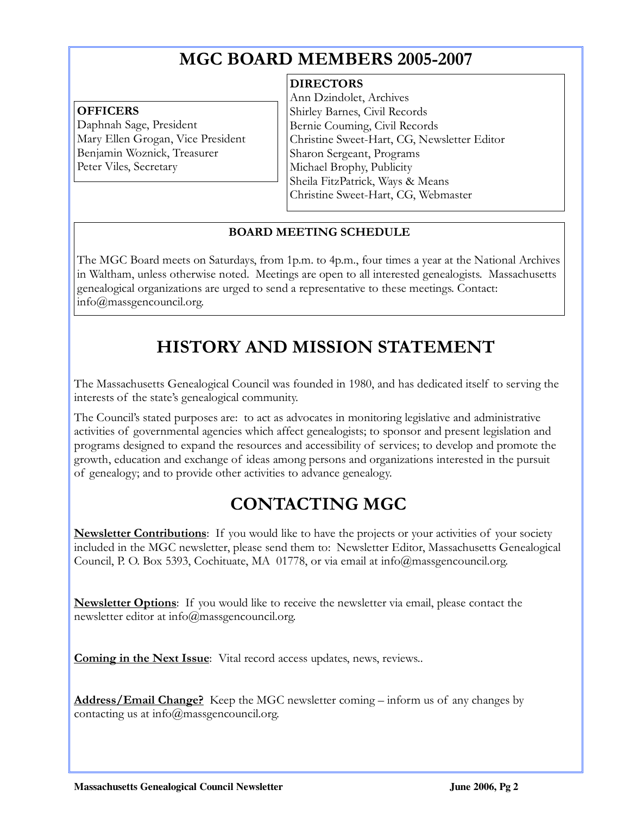## MGC BOARD MEMBERS 2005-2007

#### **OFFICERS**

Daphnah Sage, President Mary Ellen Grogan, Vice President Benjamin Woznick, Treasurer Peter Viles, Secretary

#### **DIRECTORS**

Ann Dzindolet, Archives Shirley Barnes, Civil Records Bernie Couming, Civil Records Christine Sweet-Hart, CG, Newsletter Editor Sharon Sergeant, Programs Michael Brophy, Publicity Sheila FitzPatrick, Ways & Means Christine Sweet-Hart, CG, Webmaster

j

#### BOARD MEETING SCHEDULE

The MGC Board meets on Saturdays, from 1p.m. to 4p.m., four times a year at the National Archives in Waltham, unless otherwise noted. Meetings are open to all interested genealogists. Massachusetts genealogical organizations are urged to send a representative to these meetings. Contact: info@massgencouncil.org.

# HISTORY AND MISSION STATEMENT

The Massachusetts Genealogical Council was founded in 1980, and has dedicated itself to serving the interests of the state's genealogical community.

The Council's stated purposes are: to act as advocates in monitoring legislative and administrative activities of governmental agencies which affect genealogists; to sponsor and present legislation and programs designed to expand the resources and accessibility of services; to develop and promote the growth, education and exchange of ideas among persons and organizations interested in the pursuit of genealogy; and to provide other activities to advance genealogy.

# CONTACTING MGC

**Newsletter Contributions**: If you would like to have the projects or your activities of your society included in the MGC newsletter, please send them to: Newsletter Editor, Massachusetts Genealogical Council, P. O. Box 5393, Cochituate, MA 01778, or via email at info@massgencouncil.org.

**Newsletter Options**: If you would like to receive the newsletter via email, please contact the newsletter editor at info@massgencouncil.org.

Coming in the Next Issue: Vital record access updates, news, reviews...

Address/Email Change? Keep the MGC newsletter coming – inform us of any changes by contacting us at info@massgencouncil.org.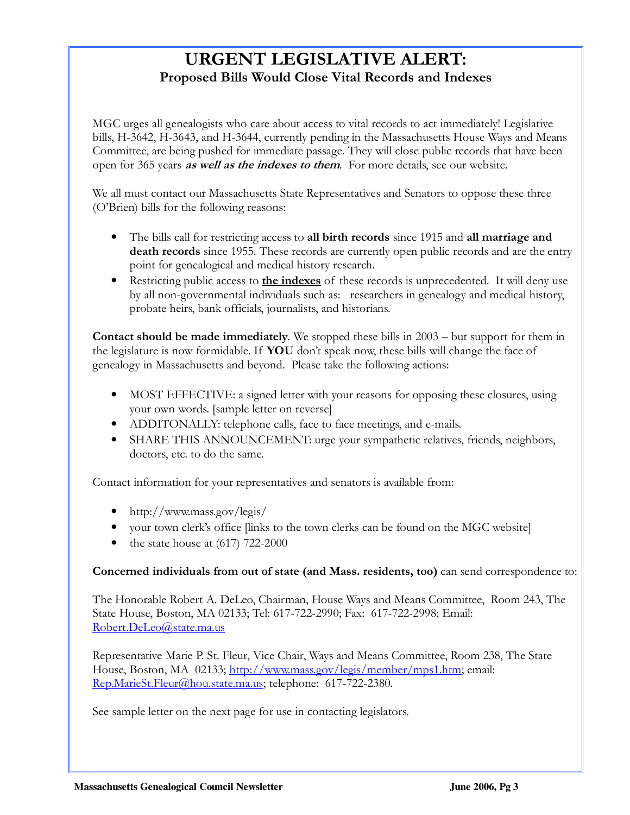## URGENT LEGISLATIVE ALERT: Proposed Bills Would Close Vital Records and Indexes

MGC urges all genealogists who care about access to vital records to act immediately! Legislative bills, H-3642, H-3643, and H-3644, currently pending in the Massachusetts House Ways and Means Committee, are being pushed for immediate passage. They will close public records that have been open for 365 years as well as the indexes to them. For more details, see our website.

We all must contact our Massachusetts State Representatives and Senators to oppose these three (O'Brien) bills for the following reasons:

- The bills call for restricting access to all birth records since 1915 and all marriage and death records since 1955. These records are currently open public records and are the entry point for genealogical and medical history research.
- Restricting public access to **the indexes** of these records is unprecedented. It will deny use by all non-governmental individuals such as: researchers in genealogy and medical history, probate heirs, bank officials, journalists, and historians.

Contact should be made immediately. We stopped these bills in 2003 – but support for them in the legislature is now formidable. If YOU don't speak now, these bills will change the face of genealogy in Massachusetts and beyond. Please take the following actions:

- MOST EFFECTIVE: a signed letter with your reasons for opposing these closures, using your own words. [sample letter on reverse]
- ADDITONALLY: telephone calls, face to face meetings, and e-mails.
- SHARE THIS ANNOUNCEMENT: urge your sympathetic relatives, friends, neighbors, doctors, etc. to do the same.

Contact information for your representatives and senators is available from:

- http://www.mass.gov/legis/
- your town clerk's office [links to the town clerks can be found on the MGC website]
- the state house at  $(617)$  722-2000

#### Concerned individuals from out of state (and Mass. residents, too) can send correspondence to:

The Honorable Robert A. DeLeo, Chairman, House Ways and Means Committee, Room 243, The State House, Boston, MA 02133; Tel: 617-722-2990; Fax: 617-722-2998; Email: Robert.DeLeo@state.ma.us

Representative Marie P. St. Fleur, Vice Chair, Ways and Means Committee, Room 238, The State House, Boston, MA 02133; http://www.mass.gov/legis/member/mps1.htm; email: Rep.MarieSt.Fleur@hou.state.ma.us; telephone: 617-722-2380.

See sample letter on the next page for use in contacting legislators.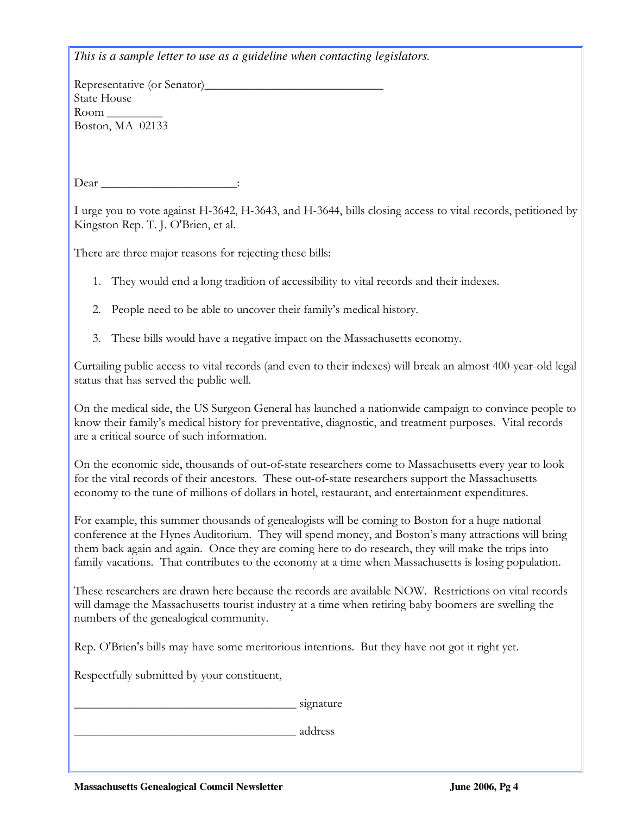*This is a sample letter to use as a guideline when contacting legislators.* 

Representative (or Senator)\_\_\_\_\_\_\_\_\_\_\_\_\_\_\_\_\_\_\_\_\_\_\_\_\_\_\_\_\_ State House Room \_\_\_\_\_\_\_\_\_ Boston, MA 02133

Dear \_\_\_\_\_\_\_\_\_\_\_\_\_\_\_\_\_\_\_\_\_\_\_\_\_:

I urge you to vote against H-3642, H-3643, and H-3644, bills closing access to vital records, petitioned by Kingston Rep. T. J. O'Brien, et al.

There are three major reasons for rejecting these bills:

- 1. They would end a long tradition of accessibility to vital records and their indexes.
- 2. People need to be able to uncover their family's medical history.
- 3. These bills would have a negative impact on the Massachusetts economy.

Curtailing public access to vital records (and even to their indexes) will break an almost 400-year-old legal status that has served the public well.

On the medical side, the US Surgeon General has launched a nationwide campaign to convince people to know their family's medical history for preventative, diagnostic, and treatment purposes. Vital records are a critical source of such information.

On the economic side, thousands of out-of-state researchers come to Massachusetts every year to look for the vital records of their ancestors. These out-of-state researchers support the Massachusetts economy to the tune of millions of dollars in hotel, restaurant, and entertainment expenditures.

For example, this summer thousands of genealogists will be coming to Boston for a huge national conference at the Hynes Auditorium. They will spend money, and Boston's many attractions will bring them back again and again. Once they are coming here to do research, they will make the trips into family vacations. That contributes to the economy at a time when Massachusetts is losing population.

These researchers are drawn here because the records are available NOW. Restrictions on vital records will damage the Massachusetts tourist industry at a time when retiring baby boomers are swelling the numbers of the genealogical community.

Rep. O'Brien's bills may have some meritorious intentions. But they have not got it right yet.

Respectfully submitted by your constituent,

 $\frac{1}{2}$  signature

\_\_\_\_\_\_\_\_\_\_\_\_\_\_\_\_\_\_\_\_\_\_\_\_\_\_\_\_\_\_\_\_\_\_\_\_ address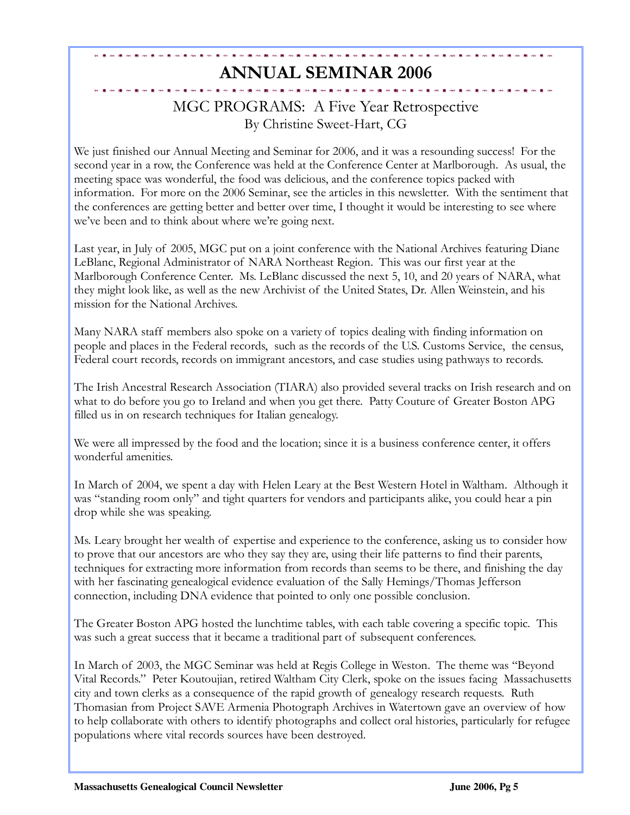# ANNUAL SEMINAR 2006

### MGC PROGRAMS: A Five Year Retrospective By Christine Sweet-Hart, CG

We just finished our Annual Meeting and Seminar for 2006, and it was a resounding success! For the second year in a row, the Conference was held at the Conference Center at Marlborough. As usual, the meeting space was wonderful, the food was delicious, and the conference topics packed with information. For more on the 2006 Seminar, see the articles in this newsletter. With the sentiment that the conferences are getting better and better over time, I thought it would be interesting to see where we've been and to think about where we're going next.

Last year, in July of 2005, MGC put on a joint conference with the National Archives featuring Diane LeBlanc, Regional Administrator of NARA Northeast Region. This was our first year at the Marlborough Conference Center. Ms. LeBlanc discussed the next 5, 10, and 20 years of NARA, what they might look like, as well as the new Archivist of the United States, Dr. Allen Weinstein, and his mission for the National Archives.

Many NARA staff members also spoke on a variety of topics dealing with finding information on people and places in the Federal records, such as the records of the U.S. Customs Service, the census, Federal court records, records on immigrant ancestors, and case studies using pathways to records.

The Irish Ancestral Research Association (TIARA) also provided several tracks on Irish research and on what to do before you go to Ireland and when you get there. Patty Couture of Greater Boston APG filled us in on research techniques for Italian genealogy.

We were all impressed by the food and the location; since it is a business conference center, it offers wonderful amenities.

In March of 2004, we spent a day with Helen Leary at the Best Western Hotel in Waltham. Although it was "standing room only" and tight quarters for vendors and participants alike, you could hear a pin drop while she was speaking.

Ms. Leary brought her wealth of expertise and experience to the conference, asking us to consider how to prove that our ancestors are who they say they are, using their life patterns to find their parents, techniques for extracting more information from records than seems to be there, and finishing the day with her fascinating genealogical evidence evaluation of the Sally Hemings/Thomas Jefferson connection, including DNA evidence that pointed to only one possible conclusion.

The Greater Boston APG hosted the lunchtime tables, with each table covering a specific topic. This was such a great success that it became a traditional part of subsequent conferences.

In March of 2003, the MGC Seminar was held at Regis College in Weston. The theme was "Beyond Vital Records." Peter Koutoujian, retired Waltham City Clerk, spoke on the issues facing Massachusetts city and town clerks as a consequence of the rapid growth of genealogy research requests. Ruth Thomasian from Project SAVE Armenia Photograph Archives in Watertown gave an overview of how to help collaborate with others to identify photographs and collect oral histories, particularly for refugee populations where vital records sources have been destroyed.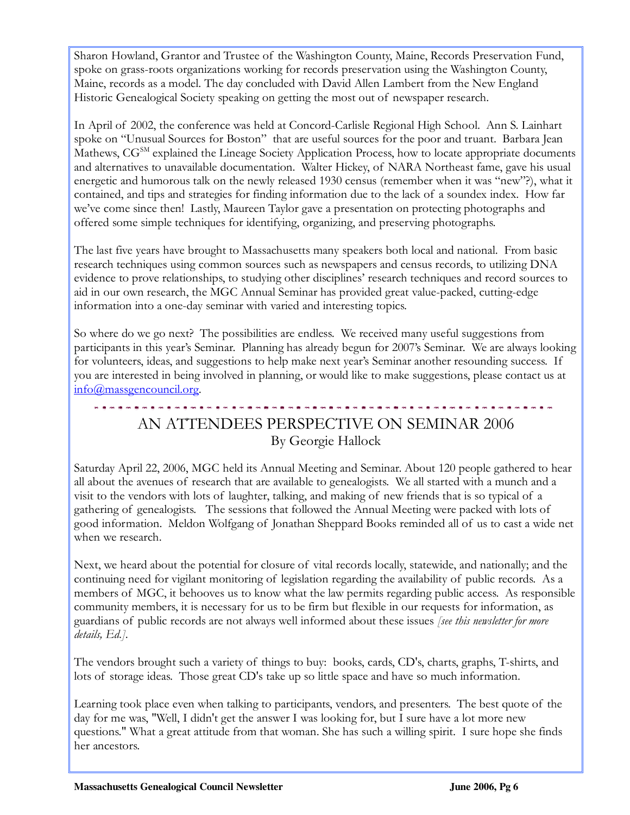Sharon Howland, Grantor and Trustee of the Washington County, Maine, Records Preservation Fund, spoke on grass-roots organizations working for records preservation using the Washington County, Maine, records as a model. The day concluded with David Allen Lambert from the New England Historic Genealogical Society speaking on getting the most out of newspaper research.

In April of 2002, the conference was held at Concord-Carlisle Regional High School. Ann S. Lainhart spoke on "Unusual Sources for Boston" that are useful sources for the poor and truant. Barbara Jean Mathews, CG<sup>SM</sup> explained the Lineage Society Application Process, how to locate appropriate documents and alternatives to unavailable documentation. Walter Hickey, of NARA Northeast fame, gave his usual energetic and humorous talk on the newly released 1930 census (remember when it was "new"?), what it contained, and tips and strategies for finding information due to the lack of a soundex index. How far we've come since then! Lastly, Maureen Taylor gave a presentation on protecting photographs and offered some simple techniques for identifying, organizing, and preserving photographs.

The last five years have brought to Massachusetts many speakers both local and national. From basic research techniques using common sources such as newspapers and census records, to utilizing DNA evidence to prove relationships, to studying other disciplines' research techniques and record sources to aid in our own research, the MGC Annual Seminar has provided great value-packed, cutting-edge information into a one-day seminar with varied and interesting topics.

So where do we go next? The possibilities are endless. We received many useful suggestions from participants in this year's Seminar. Planning has already begun for 2007's Seminar. We are always looking for volunteers, ideas, and suggestions to help make next year's Seminar another resounding success. If you are interested in being involved in planning, or would like to make suggestions, please contact us at info@massgencouncil.org.

## AN ATTENDEES PERSPECTIVE ON SEMINAR 2006 By Georgie Hallock

the contract of the contract of the contract of

Saturday April 22, 2006, MGC held its Annual Meeting and Seminar. About 120 people gathered to hear all about the avenues of research that are available to genealogists. We all started with a munch and a visit to the vendors with lots of laughter, talking, and making of new friends that is so typical of a gathering of genealogists. The sessions that followed the Annual Meeting were packed with lots of good information. Meldon Wolfgang of Jonathan Sheppard Books reminded all of us to cast a wide net when we research.

Next, we heard about the potential for closure of vital records locally, statewide, and nationally; and the continuing need for vigilant monitoring of legislation regarding the availability of public records. As a members of MGC, it behooves us to know what the law permits regarding public access. As responsible community members, it is necessary for us to be firm but flexible in our requests for information, as guardians of public records are not always well informed about these issues *[see this newsletter for more* details, Ed.].

The vendors brought such a variety of things to buy: books, cards, CD's, charts, graphs, T-shirts, and lots of storage ideas. Those great CD's take up so little space and have so much information.

Learning took place even when talking to participants, vendors, and presenters. The best quote of the day for me was, "Well, I didn't get the answer I was looking for, but I sure have a lot more new questions." What a great attitude from that woman. She has such a willing spirit. I sure hope she finds her ancestors.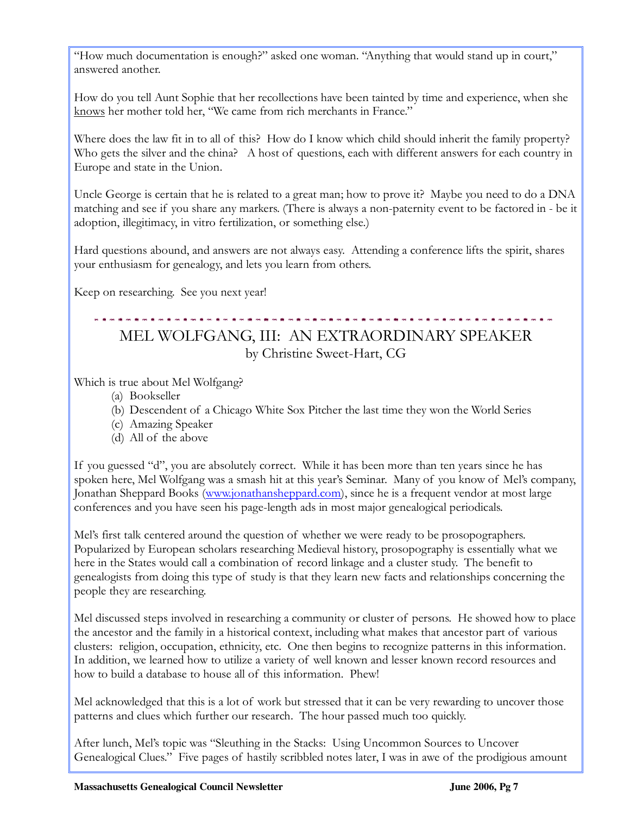"How much documentation is enough?" asked one woman. "Anything that would stand up in court," answered another.

How do you tell Aunt Sophie that her recollections have been tainted by time and experience, when she knows her mother told her, "We came from rich merchants in France."

Where does the law fit in to all of this? How do I know which child should inherit the family property? Who gets the silver and the china? A host of questions, each with different answers for each country in Europe and state in the Union.

Uncle George is certain that he is related to a great man; how to prove it? Maybe you need to do a DNA matching and see if you share any markers. (There is always a non-paternity event to be factored in - be it adoption, illegitimacy, in vitro fertilization, or something else.)

Hard questions abound, and answers are not always easy. Attending a conference lifts the spirit, shares your enthusiasm for genealogy, and lets you learn from others.

Keep on researching. See you next year!

# MEL WOLFGANG, III: AN EXTRAORDINARY SPEAKER by Christine Sweet-Hart, CG

Which is true about Mel Wolfgang?

- (a) Bookseller
- (b) Descendent of a Chicago White Sox Pitcher the last time they won the World Series
- (c) Amazing Speaker
- (d) All of the above

If you guessed "d", you are absolutely correct. While it has been more than ten years since he has spoken here, Mel Wolfgang was a smash hit at this year's Seminar. Many of you know of Mel's company, Jonathan Sheppard Books (www.jonathansheppard.com), since he is a frequent vendor at most large conferences and you have seen his page-length ads in most major genealogical periodicals.

Mel's first talk centered around the question of whether we were ready to be prosopographers. Popularized by European scholars researching Medieval history, prosopography is essentially what we here in the States would call a combination of record linkage and a cluster study. The benefit to genealogists from doing this type of study is that they learn new facts and relationships concerning the people they are researching.

Mel discussed steps involved in researching a community or cluster of persons. He showed how to place the ancestor and the family in a historical context, including what makes that ancestor part of various clusters: religion, occupation, ethnicity, etc. One then begins to recognize patterns in this information. In addition, we learned how to utilize a variety of well known and lesser known record resources and how to build a database to house all of this information. Phew!

Mel acknowledged that this is a lot of work but stressed that it can be very rewarding to uncover those patterns and clues which further our research. The hour passed much too quickly.

After lunch, Mel's topic was "Sleuthing in the Stacks: Using Uncommon Sources to Uncover Genealogical Clues." Five pages of hastily scribbled notes later, I was in awe of the prodigious amount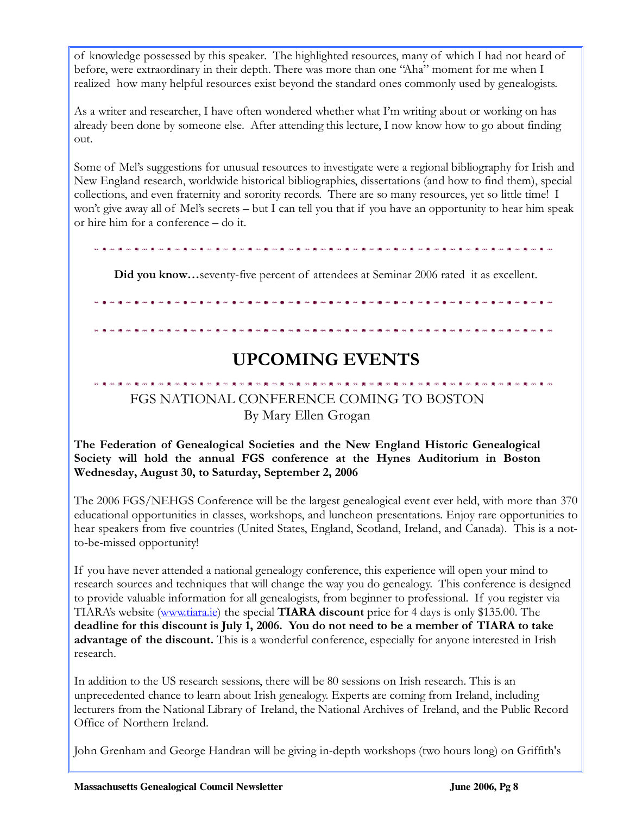of knowledge possessed by this speaker. The highlighted resources, many of which I had not heard of before, were extraordinary in their depth. There was more than one "Aha" moment for me when I realized how many helpful resources exist beyond the standard ones commonly used by genealogists.

As a writer and researcher, I have often wondered whether what I'm writing about or working on has already been done by someone else. After attending this lecture, I now know how to go about finding out.

Some of Mel's suggestions for unusual resources to investigate were a regional bibliography for Irish and New England research, worldwide historical bibliographies, dissertations (and how to find them), special collections, and even fraternity and sorority records. There are so many resources, yet so little time! I won't give away all of Mel's secrets – but I can tell you that if you have an opportunity to hear him speak or hire him for a conference – do it.

Did you know…seventy-five percent of attendees at Seminar 2006 rated it as excellent.

# UPCOMING EVENTS

**要以使用整体重新使用重新重新使用重新重新使用重新重新使用重新重新使用重新使用重新** 

## FGS NATIONAL CONFERENCE COMING TO BOSTON

By Mary Ellen Grogan

The Federation of Genealogical Societies and the New England Historic Genealogical Society will hold the annual FGS conference at the Hynes Auditorium in Boston Wednesday, August 30, to Saturday, September 2, 2006

The 2006 FGS/NEHGS Conference will be the largest genealogical event ever held, with more than 370 educational opportunities in classes, workshops, and luncheon presentations. Enjoy rare opportunities to hear speakers from five countries (United States, England, Scotland, Ireland, and Canada). This is a notto-be-missed opportunity!

If you have never attended a national genealogy conference, this experience will open your mind to research sources and techniques that will change the way you do genealogy. This conference is designed to provide valuable information for all genealogists, from beginner to professional. If you register via TIARA's website (www.tiara.ie) the special TIARA discount price for 4 days is only \$135.00. The deadline for this discount is July 1, 2006. You do not need to be a member of TIARA to take advantage of the discount. This is a wonderful conference, especially for anyone interested in Irish research.

In addition to the US research sessions, there will be 80 sessions on Irish research. This is an unprecedented chance to learn about Irish genealogy. Experts are coming from Ireland, including lecturers from the National Library of Ireland, the National Archives of Ireland, and the Public Record Office of Northern Ireland.

John Grenham and George Handran will be giving in-depth workshops (two hours long) on Griffith's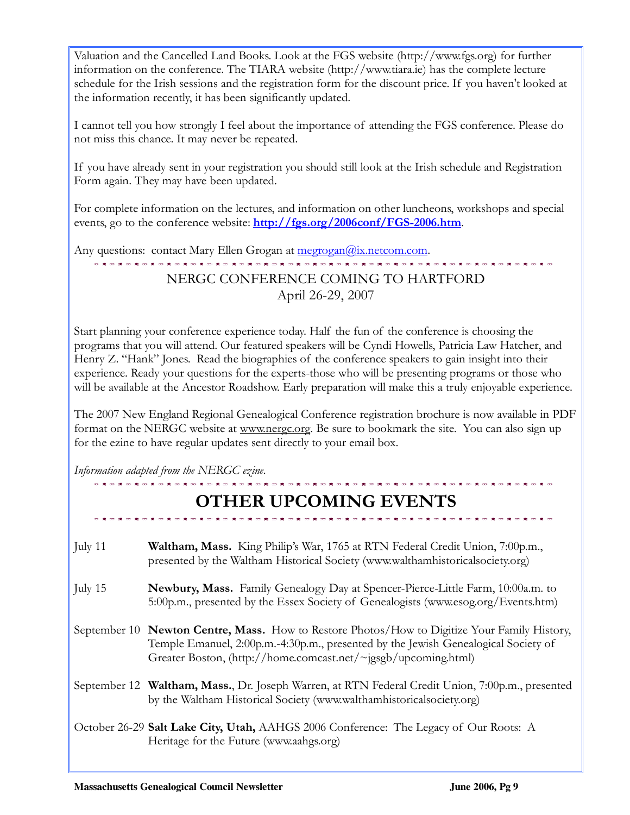Valuation and the Cancelled Land Books. Look at the FGS website (http://www.fgs.org) for further information on the conference. The TIARA website (http://www.tiara.ie) has the complete lecture schedule for the Irish sessions and the registration form for the discount price. If you haven't looked at the information recently, it has been significantly updated.

I cannot tell you how strongly I feel about the importance of attending the FGS conference. Please do not miss this chance. It may never be repeated.

If you have already sent in your registration you should still look at the Irish schedule and Registration Form again. They may have been updated.

For complete information on the lectures, and information on other luncheons, workshops and special events, go to the conference website: http://fgs.org/2006conf/FGS-2006.htm.

Any questions: contact Mary Ellen Grogan at megrogan@ix.netcom.com.

### NERGC CONFERENCE COMING TO HARTFORD April 26-29, 2007

Start planning your conference experience today. Half the fun of the conference is choosing the programs that you will attend. Our featured speakers will be Cyndi Howells, Patricia Law Hatcher, and Henry Z. "Hank" Jones. Read the biographies of the conference speakers to gain insight into their experience. Ready your questions for the experts-those who will be presenting programs or those who will be available at the Ancestor Roadshow. Early preparation will make this a truly enjoyable experience.

The 2007 New England Regional Genealogical Conference registration brochure is now available in PDF format on the NERGC website at www.nergc.org. Be sure to bookmark the site. You can also sign up for the ezine to have regular updates sent directly to your email box.

Information adapted from the NERGC ezine.

|           | <b>OTHER UPCOMING EVENTS</b>                                                                                                                                                                                                                         |
|-----------|------------------------------------------------------------------------------------------------------------------------------------------------------------------------------------------------------------------------------------------------------|
| July $11$ | <b>Waltham, Mass.</b> King Philip's War, 1765 at RTN Federal Credit Union, 7:00p.m.,<br>presented by the Waltham Historical Society (www.walthamhistoricalsociety.org)                                                                               |
| July 15   | <b>Newbury, Mass.</b> Family Genealogy Day at Spencer-Pierce-Little Farm, 10:00a.m. to<br>5:00p.m., presented by the Essex Society of Genealogists (www.esog.org/Events.htm)                                                                         |
|           | September 10 Newton Centre, Mass. How to Restore Photos/How to Digitize Your Family History,<br>Temple Emanuel, 2:00p.m.-4:30p.m., presented by the Jewish Genealogical Society of<br>Greater Boston, (http://home.comcast.net/~jgsgb/upcoming.html) |
|           | September 12 Waltham, Mass., Dr. Joseph Warren, at RTN Federal Credit Union, 7:00p.m., presented<br>by the Waltham Historical Society (www.walthamhistoricalsociety.org)                                                                             |
|           | October 26-29 Salt Lake City, Utah, AAHGS 2006 Conference: The Legacy of Our Roots: A<br>Heritage for the Future (www.aahgs.org)                                                                                                                     |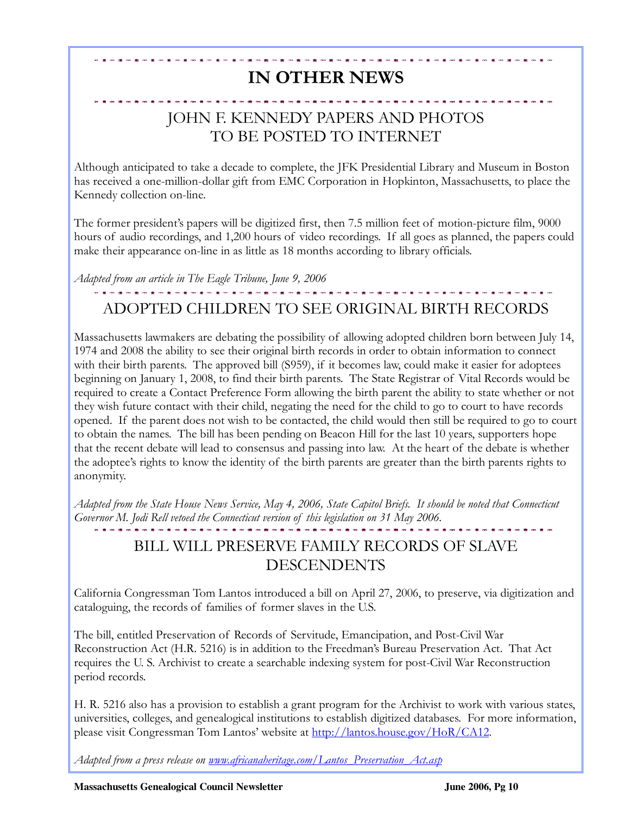# IN OTHER NEWS

## JOHN F. KENNEDY PAPERS AND PHOTOS TO BE POSTED TO INTERNET

Although anticipated to take a decade to complete, the JFK Presidential Library and Museum in Boston has received a one-million-dollar gift from EMC Corporation in Hopkinton, Massachusetts, to place the Kennedy collection on-line.

The former president's papers will be digitized first, then 7.5 million feet of motion-picture film, 9000 hours of audio recordings, and 1,200 hours of video recordings. If all goes as planned, the papers could make their appearance on-line in as little as 18 months according to library officials.

Adapted from an article in The Eagle Tribune, June 9, 2006

. . . . . . . . . . . . . . . . .

## ADOPTED CHILDREN TO SEE ORIGINAL BIRTH RECORDS

. . . . . . . . . .

Massachusetts lawmakers are debating the possibility of allowing adopted children born between July 14, 1974 and 2008 the ability to see their original birth records in order to obtain information to connect with their birth parents. The approved bill (S959), if it becomes law, could make it easier for adoptees beginning on January 1, 2008, to find their birth parents. The State Registrar of Vital Records would be required to create a Contact Preference Form allowing the birth parent the ability to state whether or not they wish future contact with their child, negating the need for the child to go to court to have records opened. If the parent does not wish to be contacted, the child would then still be required to go to court to obtain the names. The bill has been pending on Beacon Hill for the last 10 years, supporters hope that the recent debate will lead to consensus and passing into law. At the heart of the debate is whether the adoptee's rights to know the identity of the birth parents are greater than the birth parents rights to anonymity.

Adapted from the State House News Service, May 4, 2006, State Capitol Briefs. It should be noted that Connecticut Governor M. Jodi Rell vetoed the Connecticut version of this legislation on 31 May 2006.

#### BILL WILL PRESERVE FAMILY RECORDS OF SLAVE DESCENDENTS

California Congressman Tom Lantos introduced a bill on April 27, 2006, to preserve, via digitization and cataloguing, the records of families of former slaves in the U.S.

The bill, entitled Preservation of Records of Servitude, Emancipation, and Post-Civil War Reconstruction Act (H.R. 5216) is in addition to the Freedman's Bureau Preservation Act. That Act requires the U. S. Archivist to create a searchable indexing system for post-Civil War Reconstruction period records.

H. R. 5216 also has a provision to establish a grant program for the Archivist to work with various states, universities, colleges, and genealogical institutions to establish digitized databases. For more information, please visit Congressman Tom Lantos' website at http://lantos.house.gov/HoR/CA12.

Adapted from a press release on www.africanaheritage.com/Lantos\_Preservation\_Act.asp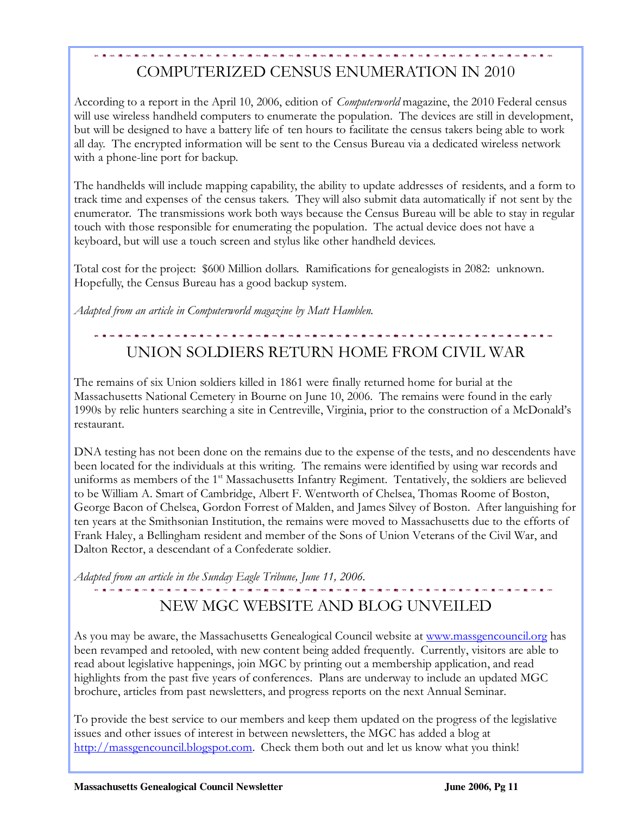# COMPUTERIZED CENSUS ENUMERATION IN 2010

According to a report in the April 10, 2006, edition of *Computerworld* magazine, the 2010 Federal census will use wireless handheld computers to enumerate the population. The devices are still in development, but will be designed to have a battery life of ten hours to facilitate the census takers being able to work all day. The encrypted information will be sent to the Census Bureau via a dedicated wireless network with a phone-line port for backup.

The handhelds will include mapping capability, the ability to update addresses of residents, and a form to track time and expenses of the census takers. They will also submit data automatically if not sent by the enumerator. The transmissions work both ways because the Census Bureau will be able to stay in regular touch with those responsible for enumerating the population. The actual device does not have a keyboard, but will use a touch screen and stylus like other handheld devices.

Total cost for the project: \$600 Million dollars. Ramifications for genealogists in 2082: unknown. Hopefully, the Census Bureau has a good backup system.

Adapted from an article in Computerworld magazine by Matt Hamblen.

# UNION SOLDIERS RETURN HOME FROM CIVIL WAR

The remains of six Union soldiers killed in 1861 were finally returned home for burial at the Massachusetts National Cemetery in Bourne on June 10, 2006. The remains were found in the early 1990s by relic hunters searching a site in Centreville, Virginia, prior to the construction of a McDonald's restaurant.

DNA testing has not been done on the remains due to the expense of the tests, and no descendents have been located for the individuals at this writing. The remains were identified by using war records and uniforms as members of the 1<sup>st</sup> Massachusetts Infantry Regiment. Tentatively, the soldiers are believed to be William A. Smart of Cambridge, Albert F. Wentworth of Chelsea, Thomas Roome of Boston, George Bacon of Chelsea, Gordon Forrest of Malden, and James Silvey of Boston. After languishing for ten years at the Smithsonian Institution, the remains were moved to Massachusetts due to the efforts of Frank Haley, a Bellingham resident and member of the Sons of Union Veterans of the Civil War, and Dalton Rector, a descendant of a Confederate soldier.

Adapted from an article in the Sunday Eagle Tribune, June 11, 2006.

# NEW MGC WEBSITE AND BLOG UNVEILED

As you may be aware, the Massachusetts Genealogical Council website at www.massgencouncil.org has been revamped and retooled, with new content being added frequently. Currently, visitors are able to read about legislative happenings, join MGC by printing out a membership application, and read highlights from the past five years of conferences. Plans are underway to include an updated MGC brochure, articles from past newsletters, and progress reports on the next Annual Seminar.

To provide the best service to our members and keep them updated on the progress of the legislative issues and other issues of interest in between newsletters, the MGC has added a blog at http://massgencouncil.blogspot.com. Check them both out and let us know what you think!